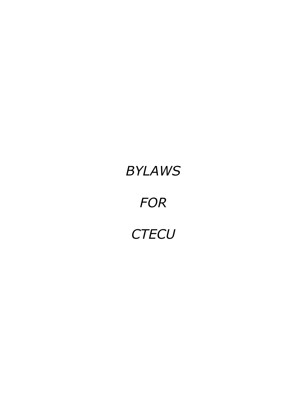# *BYLAWS FOR CTECU*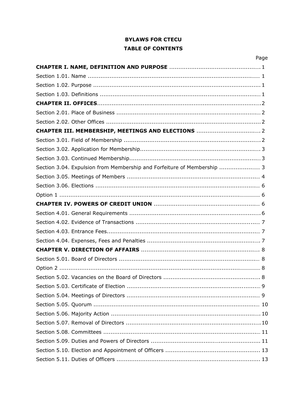# **BYLAWS FOR CTECU TABLE OF CONTENTS**

|                                                                         | Page |
|-------------------------------------------------------------------------|------|
|                                                                         |      |
|                                                                         |      |
|                                                                         |      |
|                                                                         |      |
|                                                                         |      |
|                                                                         |      |
|                                                                         |      |
|                                                                         |      |
|                                                                         |      |
|                                                                         |      |
|                                                                         |      |
|                                                                         |      |
| Section 3.04. Expulsion from Membership and Forfeiture of Membership  3 |      |
|                                                                         |      |
|                                                                         |      |
|                                                                         |      |

| Section 3.04. Expulsion from Membership and Forfeiture of Membership  3 |
|-------------------------------------------------------------------------|
|                                                                         |
|                                                                         |
|                                                                         |
|                                                                         |
|                                                                         |
|                                                                         |
|                                                                         |
|                                                                         |
|                                                                         |
|                                                                         |
|                                                                         |
|                                                                         |
|                                                                         |
|                                                                         |
|                                                                         |
|                                                                         |
|                                                                         |
|                                                                         |
|                                                                         |
|                                                                         |
|                                                                         |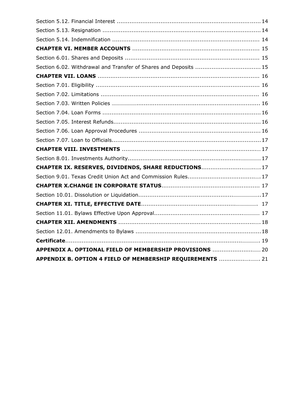| CHAPTER IX. RESERVES, DIVIDENDS, SHARE REDUCTIONS 17      |  |
|-----------------------------------------------------------|--|
|                                                           |  |
|                                                           |  |
|                                                           |  |
|                                                           |  |
|                                                           |  |
|                                                           |  |
|                                                           |  |
|                                                           |  |
| APPENDIX A. OPTIONAL FIELD OF MEMBERSHIP PROVISIONS  20   |  |
| APPENDIX B. OPTION 4 FIELD OF MEMBERSHIP REQUIREMENTS  21 |  |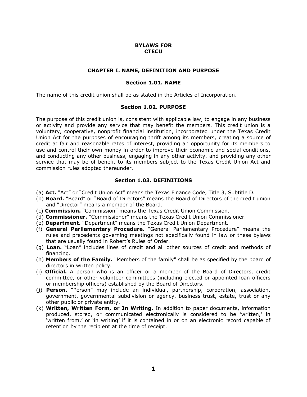#### **BYLAWS FOR CTECU**

#### **CHAPTER I. NAME, DEFINITION AND PURPOSE**

#### **Section 1.01. NAME**

The name of this credit union shall be as stated in the Articles of Incorporation.

#### **Section 1.02. PURPOSE**

The purpose of this credit union is, consistent with applicable law, to engage in any business or activity and provide any service that may benefit the members. This credit union is a voluntary, cooperative, nonprofit financial institution, incorporated under the Texas Credit Union Act for the purposes of encouraging thrift among its members, creating a source of credit at fair and reasonable rates of interest, providing an opportunity for its members to use and control their own money in order to improve their economic and social conditions, and conducting any other business, engaging in any other activity, and providing any other service that may be of benefit to its members subject to the Texas Credit Union Act and commission rules adopted thereunder.

#### **Section 1.03. DEFINITIONS**

- (a) **Act.** "Act" or "Credit Union Act" means the Texas Finance Code, Title 3, Subtitle D.
- (b) **Board.** "Board" or "Board of Directors" means the Board of Directors of the credit union and "Director" means a member of the Board.
- (c) **Commission.** "Commission" means the Texas Credit Union Commission.
- (d) **Commissioner.** "Commissioner" means the Texas Credit Union Commissioner.
- (e) **Department.** "Department" means the Texas Credit Union Department.
- (f) **General Parliamentary Procedure.** "General Parliamentary Procedure" means the rules and precedents governing meetings not specifically found in law or these bylaws that are usually found in Robert's Rules of Order.
- (g) **Loan.** "Loan" includes lines of credit and all other sources of credit and methods of financing.
- (h) **Members of the Family.** "Members of the family" shall be as specified by the board of directors in written policy.
- (i) **Official.** A person who is an officer or a member of the Board of Directors, credit committee, or other volunteer committees (including elected or appointed loan officers or membership officers) established by the Board of Directors.
- (j) **Person.** "Person" may include an individual, partnership, corporation, association, government, governmental subdivision or agency, business trust, estate, trust or any other public or private entity.
- (k) **Written, Written Form, or In Writing.** In addition to paper documents, information produced, stored, or communicated electronically is considered to be 'written,' in 'written from,' or 'in writing' if it is contained in or on an electronic record capable of retention by the recipient at the time of receipt.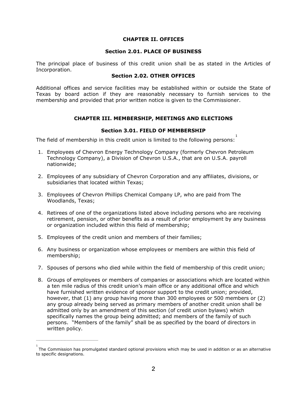#### **CHAPTER II. OFFICES**

#### **Section 2.01. PLACE OF BUSINESS**

The principal place of business of this credit union shall be as stated in the Articles of Incorporation.

# **Section 2.02. OTHER OFFICES**

Additional offices and service facilities may be established within or outside the State of Texas by board action if they are reasonably necessary to furnish services to the membership and provided that prior written notice is given to the Commissioner.

# **CHAPTER III. MEMBERSHIP, MEETINGS AND ELECTIONS**

#### **Section 3.01. FIELD OF MEMBERSHIP**

The field of membership in this credit union is limited to the following persons: 1

- 1. Employees of Chevron Energy Technology Company (formerly Chevron Petroleum Technology Company), a Division of Chevron U.S.A., that are on U.S.A. payroll nationwide;
- 2. Employees of any subsidiary of Chevron Corporation and any affiliates, divisions, or subsidiaries that located within Texas;
- 3. Employees of Chevron Phillips Chemical Company LP, who are paid from The Woodlands, Texas;
- 4. Retirees of one of the organizations listed above including persons who are receiving retirement, pension, or other benefits as a result of prior employment by any business or organization included within this field of membership;
- 5. Employees of the credit union and members of their families;

 $\mathcal{L}_\text{max}$  and  $\mathcal{L}_\text{max}$  and  $\mathcal{L}_\text{max}$  and  $\mathcal{L}_\text{max}$ 

- 6. Any business or organization whose employees or members are within this field of membership;
- 7. Spouses of persons who died while within the field of membership of this credit union;
- 8. Groups of employees or members of companies or associations which are located within a ten mile radius of this credit union's main office or any additional office and which have furnished written evidence of sponsor support to the credit union; provided, however, that (1) any group having more than 300 employees or 500 members or (2) any group already being served as primary members of another credit union shall be admitted only by an amendment of this section (of credit union bylaws) which specifically names the group being admitted; and members of the family of such persons. "Members of the family" shall be as specified by the board of directors in written policy.

<sup>&</sup>lt;sup>1</sup><br>The Commission has promulgated standard optional provisions which may be used in addition or as an alternative to specific designations.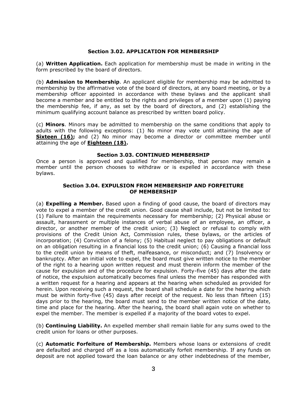#### **Section 3.02. APPLICATION FOR MEMBERSHIP**

(a) **Written Application.** Each application for membership must be made in writing in the form prescribed by the board of directors.

(b) **Admission to Membership**. An applicant eligible for membership may be admitted to membership by the affirmative vote of the board of directors, at any board meeting, or by a membership officer appointed in accordance with these bylaws and the applicant shall become a member and be entitled to the rights and privileges of a member upon (1) paying the membership fee, if any, as set by the board of directors, and (2) establishing the minimum qualifying account balance as prescribed by written board policy.

(c) **Minors**. Minors may be admitted to membership on the same conditions that apply to adults with the following exceptions: (1) No minor may vote until attaining the age of **Sixteen (16);** and (2) No minor may become a director or committee member until attaining the age of **Eighteen (18).**

#### **Section 3.03. CONTINUED MEMBERSHIP**

Once a person is approved and qualified for membership, that person may remain a member until the person chooses to withdraw or is expelled in accordance with these bylaws.

#### **Section 3.04. EXPULSION FROM MEMBERSHIP AND FORFEITURE OF MEMBERSHIP**

(a) **Expelling a Member.** Based upon a finding of good cause, the board of directors may vote to expel a member of the credit union. Good cause shall include, but not be limited to: (1) Failure to maintain the requirements necessary for membership; (2) Physical abuse or assault, harassment or multiple instances of verbal abuse of an employee, an officer, a director, or another member of the credit union; (3) Neglect or refusal to comply with provisions of the Credit Union Act, Commission rules, these bylaws, or the articles of incorporation; (4) Conviction of a felony; (5) Habitual neglect to pay obligations or default on an obligation resulting in a financial loss to the credit union; (6) Causing a financial loss to the credit union by means of theft, malfeasance, or misconduct; and (7) Insolvency or bankruptcy. After an initial vote to expel, the board must give written notice to the member of the right to a hearing upon written request and must therein inform the member of the cause for expulsion and of the procedure for expulsion. Forty-five (45) days after the date of notice, the expulsion automatically becomes final unless the member has responded with a written request for a hearing and appears at the hearing when scheduled as provided for herein. Upon receiving such a request, the board shall schedule a date for the hearing which must be within forty-five (45) days after receipt of the request. No less than fifteen (15) days prior to the hearing, the board must send to the member written notice of the date, time and place for the hearing. After the hearing, the board shall again vote on whether to expel the member. The member is expelled if a majority of the board votes to expel.

(b) **Continuing Liability.** An expelled member shall remain liable for any sums owed to the credit union for loans or other purposes.

(c) **Automatic Forfeiture of Membership.** Members whose loans or extensions of credit are defaulted and charged off as a loss automatically forfeit membership. If any funds on deposit are not applied toward the loan balance or any other indebtedness of the member,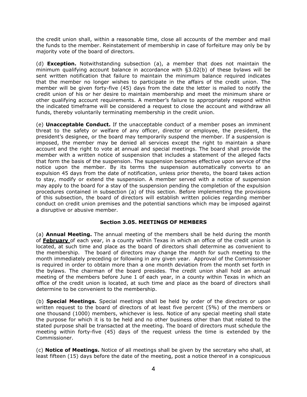the credit union shall, within a reasonable time, close all accounts of the member and mail the funds to the member. Reinstatement of membership in case of forfeiture may only be by majority vote of the board of directors.

(d) **Exception.** Notwithstanding subsection (a), a member that does not maintain the minimum qualifying account balance in accordance with §3.02(b) of these bylaws will be sent written notification that failure to maintain the minimum balance required indicates that the member no longer wishes to participate in the affairs of the credit union. The member will be given forty-five (45) days from the date the letter is mailed to notify the credit union of his or her desire to maintain membership and meet the minimum share or other qualifying account requirements. A member's failure to appropriately respond within the indicated timeframe will be considered a request to close the account and withdraw all funds, thereby voluntarily terminating membership in the credit union.

(e) **Unacceptable Conduct.** If the unacceptable conduct of a member poses an imminent threat to the safety or welfare of any officer, director or employee, the president, the president's designee, or the board may temporarily suspend the member. If a suspension is imposed, the member may be denied all services except the right to maintain a share account and the right to vote at annual and special meetings. The board shall provide the member with a written notice of suspension that includes a statement of the alleged facts that form the basis of the suspension. The suspension becomes effective upon service of the notice upon the member. By its terms the suspension automatically converts to an expulsion 45 days from the date of notification, unless prior thereto, the board takes action to stay, modify or extend the suspension. A member served with a notice of suspension may apply to the board for a stay of the suspension pending the completion of the expulsion procedures contained in subsection (a) of this section. Before implementing the provisions of this subsection, the board of directors will establish written policies regarding member conduct on credit union premises and the potential sanctions which may be imposed against a disruptive or abusive member.

# **Section 3.05. MEETINGS OF MEMBERS**

(a) **Annual Meeting.** The annual meeting of the members shall be held during the month of **February** of each year, in a county within Texas in which an office of the credit union is located, at such time and place as the board of directors shall determine as convenient to the membership. The board of directors may change the month for such meeting to the month immediately preceding or following in any given year. Approval of the Commissioner is required in order to obtain more than a one month deviation from the month set forth in the bylaws. The chairman of the board presides. The credit union shall hold an annual meeting of the members before June 1 of each year, in a county within Texas in which an office of the credit union is located, at such time and place as the board of directors shall determine to be convenient to the membership.

(b) **Special Meetings.** Special meetings shall be held by order of the directors or upon written request to the board of directors of at least five percent (5%) of the members or one thousand (1000) members, whichever is less. Notice of any special meeting shall state the purpose for which it is to be held and no other business other than that related to the stated purpose shall be transacted at the meeting. The board of directors must schedule the meeting within forty-five (45) days of the request unless the time is extended by the Commissioner.

(c) **Notice of Meetings.** Notice of all meetings shall be given by the secretary who shall, at least fifteen (15) days before the date of the meeting, post a notice thereof in a conspicuous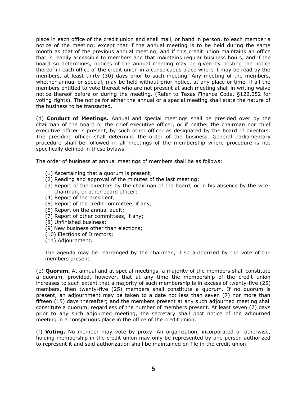place in each office of the credit union and shall mail, or hand in person, to each member a notice of the meeting; except that if the annual meeting is to be held during the same month as that of the previous annual meeting, and if this credit union maintains an office that is readily accessible to members and that maintains regular business hours, and if the board so determines, notices of the annual meeting may be given by posting the notice thereof in each office of the credit union in a conspicuous place where it may be read by the members, at least thirty (30) days prior to such meeting. Any meeting of the members, whether annual or special, may be held without prior notice, at any place or time, if all the members entitled to vote thereat who are not present at such meeting shall in writing waive notice thereof before or during the meeting. (Refer to Texas Finance Code, §122.052 for voting rights). The notice for either the annual or a special meeting shall state the nature of the business to be transacted.

(d) **Conduct of Meetings.** Annual and special meetings shall be presided over by the chairman of the board or the chief executive officer, or if neither the chairman nor chief executive officer is present, by such other officer as designated by the board of directors. The presiding officer shall determine the order of the business. General parliamentary procedure shall be followed in all meetings of the membership where procedure is not specifically defined in these bylaws.

The order of business at annual meetings of members shall be as follows:

- (1) Ascertaining that a quorum is present;
- (2) Reading and approval of the minutes of the last meeting;
- (3) Report of the directors by the chairman of the board, or in his absence by the vicechairman, or other board officer;
- (4) Report of the president;
- (5) Report of the credit committee, if any;
- (6) Report on the annual audit;
- (7) Report of other committees, if any;
- (8) Unfinished business;
- (9) New business other than elections;
- (10) Elections of Directors;
- (11) Adjournment.

The agenda may be rearranged by the chairman, if so authorized by the vote of the members present.

(e) **Quorum.** At annual and at special meetings, a majority of the members shall constitute a quorum, provided, however, that at any time the membership of the credit union increases to such extent that a majority of such membership is in excess of twenty-five (25) members, then twenty-five (25) members shall constitute a quorum. If no quorum is present, an adjournment may be taken to a date not less than seven (7) nor more than fifteen (15) days thereafter; and the members present at any such adjourned meeting shall constitute a quorum, regardless of the number of members present. At least seven (7) days prior to any such adjourned meeting, the secretary shall post notice of the adjourned meeting in a conspicuous place in the office of the credit union.

(f) **Voting.** No member may vote by proxy. An organization, incorporated or otherwise, holding membership in the credit union may only be represented by one person authorized to represent it and said authorization shall be maintained on file in the credit union.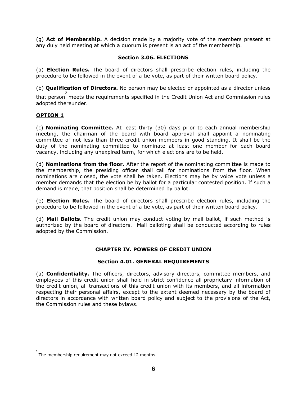(g) **Act of Membership.** A decision made by a majority vote of the members present at any duly held meeting at which a quorum is present is an act of the membership.

# **Section 3.06. ELECTIONS**

(a) **Election Rules.** The board of directors shall prescribe election rules, including the procedure to be followed in the event of a tie vote, as part of their written board policy.

(b) **Qualification of Directors.** No person may be elected or appointed as a director unless

that person <sup>2</sup> meets the requirements specified in the Credit Union Act and Commission rules adopted thereunder.

# **OPTION 1**

(c) **Nominating Committee.** At least thirty (30) days prior to each annual membership meeting, the chairman of the board with board approval shall appoint a nominating committee of not less than three credit union members in good standing. It shall be the duty of the nominating committee to nominate at least one member for each board vacancy, including any unexpired term, for which elections are to be held.

(d) **Nominations from the floor.** After the report of the nominating committee is made to the membership, the presiding officer shall call for nominations from the floor. When nominations are closed, the vote shall be taken. Elections may be by voice vote unless a member demands that the election be by ballot for a particular contested position. If such a demand is made, that position shall be determined by ballot.

(e) **Election Rules.** The board of directors shall prescribe election rules, including the procedure to be followed in the event of a tie vote, as part of their written board policy.

(d) **Mail Ballots.** The credit union may conduct voting by mail ballot, if such method is authorized by the board of directors. Mail balloting shall be conducted according to rules adopted by the Commission.

# **CHAPTER IV. POWERS OF CREDIT UNION**

# **Section 4.01. GENERAL REQUIREMENTS**

(a) **Confidentiality.** The officers, directors, advisory directors, committee members, and employees of this credit union shall hold in strict confidence all proprietary information of the credit union, all transactions of this credit union with its members, and all information respecting their personal affairs, except to the extent deemed necessary by the board of directors in accordance with written board policy and subject to the provisions of the Act, the Commission rules and these bylaws.

\_\_\_\_\_\_\_\_\_\_\_\_\_\_\_\_\_\_\_\_\_\_\_\_\_

<sup>2</sup>  The membership requirement may not exceed 12 months.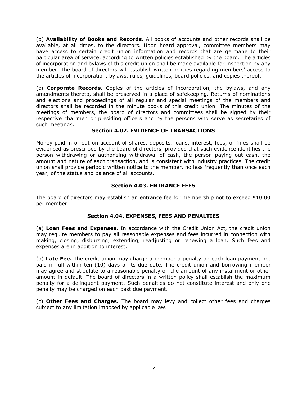(b) **Availability of Books and Records.** All books of accounts and other records shall be available, at all times, to the directors. Upon board approval, committee members may have access to certain credit union information and records that are germane to their particular area of service, according to written policies established by the board. The articles of incorporation and bylaws of this credit union shall be made available for inspection by any member. The board of directors will establish written policies regarding members' access to the articles of incorporation, bylaws, rules, guidelines, board policies, and copies thereof.

(c) **Corporate Records.** Copies of the articles of incorporation, the bylaws, and any amendments thereto, shall be preserved in a place of safekeeping. Returns of nominations and elections and proceedings of all regular and special meetings of the members and directors shall be recorded in the minute books of this credit union. The minutes of the meetings of members, the board of directors and committees shall be signed by their respective chairmen or presiding officers and by the persons who serve as secretaries of such meetings.

# **Section 4.02. EVIDENCE OF TRANSACTIONS**

Money paid in or out on account of shares, deposits, loans, interest, fees, or fines shall be evidenced as prescribed by the board of directors, provided that such evidence identifies the person withdrawing or authorizing withdrawal of cash, the person paying out cash, the amount and nature of each transaction, and is consistent with industry practices. The credit union shall provide periodic written notice to the member, no less frequently than once each year, of the status and balance of all accounts.

# **Section 4.03. ENTRANCE FEES**

The board of directors may establish an entrance fee for membership not to exceed \$10.00 per member.

# **Section 4.04. EXPENSES, FEES AND PENALTIES**

(a) **Loan Fees and Expenses.** In accordance with the Credit Union Act, the credit union may require members to pay all reasonable expenses and fees incurred in connection with making, closing, disbursing, extending, readjusting or renewing a loan. Such fees and expenses are in addition to interest.

(b) **Late Fee.** The credit union may charge a member a penalty on each loan payment not paid in full within ten (10) days of its due date. The credit union and borrowing member may agree and stipulate to a reasonable penalty on the amount of any installment or other amount in default. The board of directors in a written policy shall establish the maximum penalty for a delinquent payment. Such penalties do not constitute interest and only one penalty may be charged on each past due payment.

(c) **Other Fees and Charges.** The board may levy and collect other fees and charges subject to any limitation imposed by applicable law.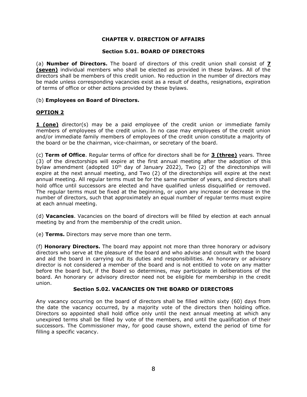# **CHAPTER V. DIRECTION OF AFFAIRS**

# **Section 5.01. BOARD OF DIRECTORS**

(a) **Number of Directors.** The board of directors of this credit union shall consist of **7 (seven)** individual members who shall be elected as provided in these bylaws. All of the directors shall be members of this credit union. No reduction in the number of directors may be made unless corresponding vacancies exist as a result of deaths, resignations, expiration of terms of office or other actions provided by these bylaws.

# (b) **Employees on Board of Directors.**

# **OPTION 2**

**1 (one)** director(s) may be a paid employee of the credit union or immediate family members of employees of the credit union. In no case may employees of the credit union and/or immediate family members of employees of the credit union constitute a majority of the board or be the chairman, vice-chairman, or secretary of the board.

(c) **Term of Office**. Regular terms of office for directors shall be for **3 (three)** years. Three (3) of the directorships will expire at the first annual meeting after the adoption of this bylaw amendment (adopted  $10<sup>th</sup>$  day of January 2022), Two (2) of the directorships will expire at the next annual meeting, and Two (2) of the directorships will expire at the next annual meeting. All regular terms must be for the same number of years, and directors shall hold office until successors are elected and have qualified unless disqualified or removed. The regular terms must be fixed at the beginning, or upon any increase or decrease in the number of directors, such that approximately an equal number of regular terms must expire at each annual meeting.

(d) **Vacancies**. Vacancies on the board of directors will be filled by election at each annual meeting by and from the membership of the credit union.

(e) **Terms.** Directors may serve more than one term.

(f) **Honorary Directors.** The board may appoint not more than three honorary or advisory directors who serve at the pleasure of the board and who advise and consult with the board and aid the board in carrying out its duties and responsibilities. An honorary or advisory director is not considered a member of the board and is not entitled to vote on any matter before the board but, if the Board so determines, may participate in deliberations of the board. An honorary or advisory director need not be eligible for membership in the credit union.

# **Section 5.02. VACANCIES ON THE BOARD OF DIRECTORS**

Any vacancy occurring on the board of directors shall be filled within sixty (60) days from the date the vacancy occurred, by a majority vote of the directors then holding office. Directors so appointed shall hold office only until the next annual meeting at which any unexpired terms shall be filled by vote of the members, and until the qualification of their successors. The Commissioner may, for good cause shown, extend the period of time for filling a specific vacancy.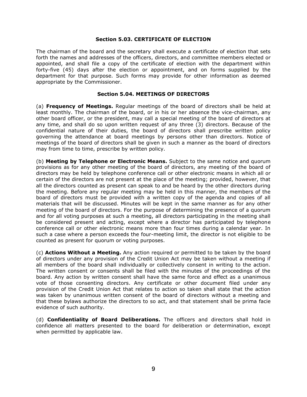#### **Section 5.03. CERTIFICATE OF ELECTION**

The chairman of the board and the secretary shall execute a certificate of election that sets forth the names and addresses of the officers, directors, and committee members elected or appointed, and shall file a copy of the certificate of election with the department within forty-five (45) days after the election or appointment, and on forms supplied by the department for that purpose. Such forms may provide for other information as deemed appropriate by the Commissioner.

# **Section 5.04. MEETINGS OF DIRECTORS**

(a) **Frequency of Meetings.** Regular meetings of the board of directors shall be held at least monthly. The chairman of the board, or in his or her absence the vice-chairman, any other board officer, or the president, may call a special meeting of the board of directors at any time, and shall do so upon written request of any three (3) directors. Because of the confidential nature of their duties, the board of directors shall prescribe written policy governing the attendance at board meetings by persons other than directors. Notice of meetings of the board of directors shall be given in such a manner as the board of directors may from time to time, prescribe by written policy.

(b) **Meeting by Telephone or Electronic Means.** Subject to the same notice and quorum provisions as for any other meeting of the board of directors, any meeting of the board of directors may be held by telephone conference call or other electronic means in which all or certain of the directors are not present at the place of the meeting; provided, however, that all the directors counted as present can speak to and be heard by the other directors during the meeting. Before any regular meeting may be held in this manner, the members of the board of directors must be provided with a written copy of the agenda and copies of all materials that will be discussed. Minutes will be kept in the same manner as for any other meeting of the board of directors. For the purpose of determining the presence of a quorum and for all voting purposes at such a meeting, all directors participating in the meeting shall be considered present and acting, except where a director has participated by telephone conference call or other electronic means more than four times during a calendar year. In such a case where a person exceeds the four-meeting limit, the director is not eligible to be counted as present for quorum or voting purposes.

(c) **Actions Without a Meeting.** Any action required or permitted to be taken by the board of directors under any provision of the Credit Union Act may be taken without a meeting if all members of the board shall individually or collectively consent in writing to the action. The written consent or consents shall be filed with the minutes of the proceedings of the board. Any action by written consent shall have the same force and effect as a unanimous vote of those consenting directors. Any certificate or other document filed under any provision of the Credit Union Act that relates to action so taken shall state that the action was taken by unanimous written consent of the board of directors without a meeting and that these bylaws authorize the directors to so act, and that statement shall be prima facie evidence of such authority.

(d) **Confidentiality of Board Deliberations.** The officers and directors shall hold in confidence all matters presented to the board for deliberation or determination, except when permitted by applicable law.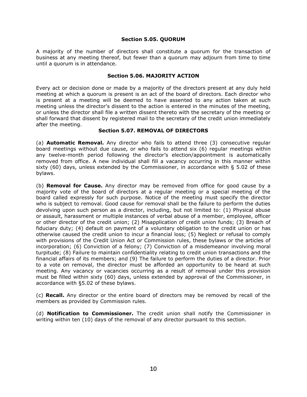#### **Section 5.05. QUORUM**

A majority of the number of directors shall constitute a quorum for the transaction of business at any meeting thereof, but fewer than a quorum may adjourn from time to time until a quorum is in attendance.

#### **Section 5.06. MAJORITY ACTION**

Every act or decision done or made by a majority of the directors present at any duly held meeting at which a quorum is present is an act of the board of directors. Each director who is present at a meeting will be deemed to have assented to any action taken at such meeting unless the director's dissent to the action is entered in the minutes of the meeting, or unless the director shall file a written dissent thereto with the secretary of the meeting or shall forward that dissent by registered mail to the secretary of the credit union immediately after the meeting.

# **Section 5.07. REMOVAL OF DIRECTORS**

(a) **Automatic Removal.** Any director who fails to attend three (3) consecutive regular board meetings without due cause, or who fails to attend six (6) regular meetings within any twelve-month period following the director's election/appointment is automatically removed from office. A new individual shall fill a vacancy occurring in this manner within sixty  $(60)$  days, unless extended by the Commissioner, in accordance with § 5.02 of these bylaws.

(b) **Removal for Cause.** Any director may be removed from office for good cause by a majority vote of the board of directors at a regular meeting or a special meeting of the board called expressly for such purpose. Notice of the meeting must specify the director who is subject to removal. Good cause for removal shall be the failure to perform the duties devolving upon such person as a director, including, but not limited to: (1) Physical abuse or assault, harassment or multiple instances of verbal abuse of a member, employee, officer or other director of the credit union; (2) Misapplication of credit union funds; (3) Breach of fiduciary duty; (4) default on payment of a voluntary obligation to the credit union or has otherwise caused the credit union to incur a financial loss; (5) Neglect or refusal to comply with provisions of the Credit Union Act or Commission rules, these bylaws or the articles of incorporation; (6) Conviction of a felony; (7) Conviction of a misdemeanor involving moral turpitude; (8) Failure to maintain confidentiality relating to credit union transactions and the financial affairs of its members; and (9) The failure to perform the duties of a director. Prior to a vote on removal, the director must be afforded an opportunity to be heard at such meeting. Any vacancy or vacancies occurring as a result of removal under this provision must be filled within sixty (60) days, unless extended by approval of the Commissioner, in accordance with §5.02 of these bylaws.

(c) **Recall.** Any director or the entire board of directors may be removed by recall of the members as provided by Commission rules.

(d) **Notification to Commissioner.** The credit union shall notify the Commissioner in writing within ten (10) days of the removal of any director pursuant to this section.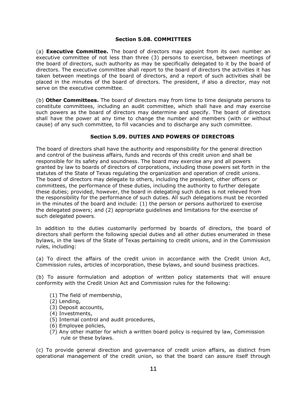#### **Section 5.08. COMMITTEES**

(a) **Executive Committee.** The board of directors may appoint from its own number an executive committee of not less than three (3) persons to exercise, between meetings of the board of directors, such authority as may be specifically delegated to it by the board of directors. The executive committee shall report to the board of directors the activities it has taken between meetings of the board of directors, and a report of such activities shall be placed in the minutes of the board of directors. The president, if also a director, may not serve on the executive committee.

(b) **Other Committees.** The board of directors may from time to time designate persons to constitute committees, including an audit committee, which shall have and may exercise such powers as the board of directors may determine and specify. The board of directors shall have the power at any time to change the number and members (with or without cause) of any such committee, to fill vacancies and to discharge any such committee.

# **Section 5.09. DUTIES AND POWERS OF DIRECTORS**

The board of directors shall have the authority and responsibility for the general direction and control of the business affairs, funds and records of this credit union and shall be responsible for its safety and soundness. The board may exercise any and all powers granted by law to boards of directors of corporations, including those powers set forth in the statutes of the State of Texas regulating the organization and operation of credit unions. The board of directors may delegate to others, including the president, other officers or committees, the performance of these duties, including the authority to further delegate these duties; provided, however, the board in delegating such duties is not relieved from the responsibility for the performance of such duties. All such delegations must be recorded in the minutes of the board and include: (1) the person or persons authorized to exercise the delegated powers; and (2) appropriate guidelines and limitations for the exercise of such delegated powers.

In addition to the duties customarily performed by boards of directors, the board of directors shall perform the following special duties and all other duties enumerated in these bylaws, in the laws of the State of Texas pertaining to credit unions, and in the Commission rules, including:

(a) To direct the affairs of the credit union in accordance with the Credit Union Act, Commission rules, articles of incorporation, these bylaws, and sound business practices.

(b) To assure formulation and adoption of written policy statements that will ensure conformity with the Credit Union Act and Commission rules for the following:

- (1) The field of membership,
- (2) Lending,
- (3) Deposit accounts,
- (4) Investments,
- (5) Internal control and audit procedures,
- (6) Employee policies,
- (7) Any other matter for which a written board policy is required by law, Commission rule or these bylaws.

(c) To provide general direction and governance of credit union affairs, as distinct from operational management of the credit union, so that the board can assure itself through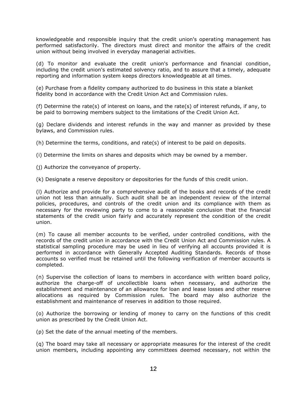knowledgeable and responsible inquiry that the credit union's operating management has performed satisfactorily. The directors must direct and monitor the affairs of the credit union without being involved in everyday managerial activities.

(d) To monitor and evaluate the credit union's performance and financial condition, including the credit union's estimated solvency ratio, and to assure that a timely, adequate reporting and information system keeps directors knowledgeable at all times.

(e) Purchase from a fidelity company authorized to do business in this state a blanket fidelity bond in accordance with the Credit Union Act and Commission rules.

(f) Determine the rate(s) of interest on loans, and the rate(s) of interest refunds, if any, to be paid to borrowing members subject to the limitations of the Credit Union Act.

(g) Declare dividends and interest refunds in the way and manner as provided by these bylaws, and Commission rules.

(h) Determine the terms, conditions, and rate(s) of interest to be paid on deposits.

(i) Determine the limits on shares and deposits which may be owned by a member.

(j) Authorize the conveyance of property.

(k) Designate a reserve depository or depositories for the funds of this credit union.

(l) Authorize and provide for a comprehensive audit of the books and records of the credit union not less than annually. Such audit shall be an independent review of the internal policies, procedures, and controls of the credit union and its compliance with them as necessary for the reviewing party to come to a reasonable conclusion that the financial statements of the credit union fairly and accurately represent the condition of the credit union.

(m) To cause all member accounts to be verified, under controlled conditions, with the records of the credit union in accordance with the Credit Union Act and Commission rules. A statistical sampling procedure may be used in lieu of verifying all accounts provided it is performed in accordance with Generally Accepted Auditing Standards. Records of those accounts so verified must be retained until the following verification of member accounts is completed.

(n) Supervise the collection of loans to members in accordance with written board policy, authorize the charge-off of uncollectible loans when necessary, and authorize the establishment and maintenance of an allowance for loan and lease losses and other reserve allocations as required by Commission rules. The board may also authorize the establishment and maintenance of reserves in addition to those required.

(o) Authorize the borrowing or lending of money to carry on the functions of this credit union as prescribed by the Credit Union Act.

(p) Set the date of the annual meeting of the members.

(q) The board may take all necessary or appropriate measures for the interest of the credit union members, including appointing any committees deemed necessary, not within the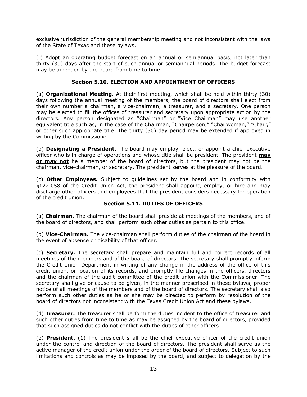exclusive jurisdiction of the general membership meeting and not inconsistent with the laws of the State of Texas and these bylaws.

(r) Adopt an operating budget forecast on an annual or semiannual basis, not later than thirty (30) days after the start of such annual or semiannual periods. The budget forecast may be amended by the board from time to time.

# **Section 5.10. ELECTION AND APPOINTMENT OF OFFICERS**

(a) **Organizational Meeting.** At their first meeting, which shall be held within thirty (30) days following the annual meeting of the members, the board of directors shall elect from their own number a chairman, a vice-chairman, a treasurer, and a secretary. One person may be elected to fill the offices of treasurer and secretary upon appropriate action by the directors. Any person designated as "Chairman" or "Vice Chairman" may use another equivalent title such as, in the case of the Chairman, "Chairperson," "Chairwoman," "Chair," or other such appropriate title. The thirty (30) day period may be extended if approved in writing by the Commissioner.

(b) **Designating a President.** The board may employ, elect, or appoint a chief executive officer who is in charge of operations and whose title shall be president. The president **may or may not** be a member of the board of directors, but the president may not be the chairman, vice-chairman, or secretary. The president serves at the pleasure of the board.

(c) **Other Employees.** Subject to guidelines set by the board and in conformity with §122.058 of the Credit Union Act, the president shall appoint, employ, or hire and may discharge other officers and employees that the president considers necessary for operation of the credit union.

# **Section 5.11. DUTIES OF OFFICERS**

(a) **Chairman.** The chairman of the board shall preside at meetings of the members, and of the board of directors, and shall perform such other duties as pertain to this office.

(b) **Vice-Chairman.** The vice-chairman shall perform duties of the chairman of the board in the event of absence or disability of that officer.

(c) **Secretary.** The secretary shall prepare and maintain full and correct records of all meetings of the members and of the board of directors. The secretary shall promptly inform the Credit Union Department in writing of any change in the address of the office of this credit union, or location of its records, and promptly file changes in the officers, directors and the chairman of the audit committee of the credit union with the Commissioner. The secretary shall give or cause to be given, in the manner prescribed in these bylaws, proper notice of all meetings of the members and of the board of directors. The secretary shall also perform such other duties as he or she may be directed to perform by resolution of the board of directors not inconsistent with the Texas Credit Union Act and these bylaws.

(d) **Treasurer.** The treasurer shall perform the duties incident to the office of treasurer and such other duties from time to time as may be assigned by the board of directors, provided that such assigned duties do not conflict with the duties of other officers.

(e) **President.** (1) The president shall be the chief executive officer of the credit union under the control and direction of the board of directors. The president shall serve as the active manager of the credit union under the order of the board of directors. Subject to such limitations and controls as may be imposed by the board, and subject to delegation by the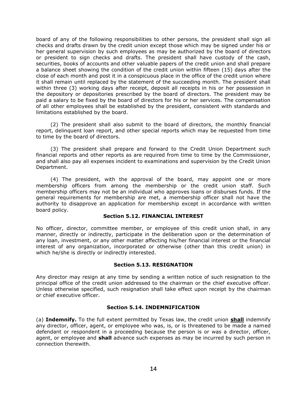board of any of the following responsibilities to other persons, the president shall sign all checks and drafts drawn by the credit union except those which may be signed under his or her general supervision by such employees as may be authorized by the board of directors or president to sign checks and drafts. The president shall have custody of the cash, securities, books of accounts and other valuable papers of the credit union and shall prepare a balance sheet showing the condition of the credit union within fifteen (15) days after the close of each month and post it in a conspicuous place in the office of the credit union where it shall remain until replaced by the statement of the succeeding month. The president shall within three (3) working days after receipt, deposit all receipts in his or her possession in the depository or depositories prescribed by the board of directors. The president may be paid a salary to be fixed by the board of directors for his or her services. The compensation of all other employees shall be established by the president, consistent with standards and limitations established by the board.

(2) The president shall also submit to the board of directors, the monthly financial report, delinquent loan report, and other special reports which may be requested from time to time by the board of directors.

(3) The president shall prepare and forward to the Credit Union Department such financial reports and other reports as are required from time to time by the Commissioner, and shall also pay all expenses incident to examinations and supervision by the Credit Union Department.

(4) The president, with the approval of the board, may appoint one or more membership officers from among the membership or the credit union staff. Such membership officers may not be an individual who approves loans or disburses funds. If the general requirements for membership are met, a membership officer shall not have the authority to disapprove an application for membership except in accordance with written board policy.

#### **Section 5.12. FINANCIAL INTEREST**

No officer, director, committee member, or employee of this credit union shall, in any manner, directly or indirectly, participate in the deliberation upon or the determination of any loan, investment, or any other matter affecting his/her financial interest or the financial interest of any organization, incorporated or otherwise (other than this credit union) in which he/she is directly or indirectly interested.

# **Section 5.13. RESIGNATION**

Any director may resign at any time by sending a written notice of such resignation to the principal office of the credit union addressed to the chairman or the chief executive officer. Unless otherwise specified, such resignation shall take effect upon receipt by the chairman or chief executive officer.

# **Section 5.14. INDEMNIFICATION**

(a) **Indemnify.** To the full extent permitted by Texas law, the credit union **shall** indemnify any director, officer, agent, or employee who was, is, or is threatened to be made a named defendant or respondent in a proceeding because the person is or was a director, officer, agent, or employee and **shall** advance such expenses as may be incurred by such person in connection therewith.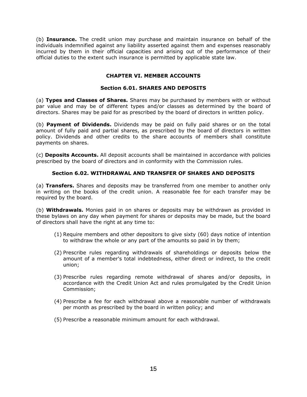(b) **Insurance.** The credit union may purchase and maintain insurance on behalf of the individuals indemnified against any liability asserted against them and expenses reasonably incurred by them in their official capacities and arising out of the performance of their official duties to the extent such insurance is permitted by applicable state law.

# **CHAPTER VI. MEMBER ACCOUNTS**

# **Section 6.01. SHARES AND DEPOSITS**

(a) **Types and Classes of Shares.** Shares may be purchased by members with or without par value and may be of different types and/or classes as determined by the board of directors. Shares may be paid for as prescribed by the board of directors in written policy.

(b) **Payment of Dividends.** Dividends may be paid on fully paid shares or on the total amount of fully paid and partial shares, as prescribed by the board of directors in written policy. Dividends and other credits to the share accounts of members shall constitute payments on shares.

(c) **Deposits Accounts.** All deposit accounts shall be maintained in accordance with policies prescribed by the board of directors and in conformity with the Commission rules.

# **Section 6.02. WITHDRAWAL AND TRANSFER OF SHARES AND DEPOSITS**

(a) **Transfers.** Shares and deposits may be transferred from one member to another only in writing on the books of the credit union. A reasonable fee for each transfer may be required by the board.

(b) **Withdrawals.** Monies paid in on shares or deposits may be withdrawn as provided in these bylaws on any day when payment for shares or deposits may be made, but the board of directors shall have the right at any time to:

- (1) Require members and other depositors to give sixty (60) days notice of intention to withdraw the whole or any part of the amounts so paid in by them;
- (2) Prescribe rules regarding withdrawals of shareholdings or deposits below the amount of a member's total indebtedness, either direct or indirect, to the credit union;
- (3) Prescribe rules regarding remote withdrawal of shares and/or deposits, in accordance with the Credit Union Act and rules promulgated by the Credit Union Commission;
- (4) Prescribe a fee for each withdrawal above a reasonable number of withdrawals per month as prescribed by the board in written policy; and
- (5) Prescribe a reasonable minimum amount for each withdrawal.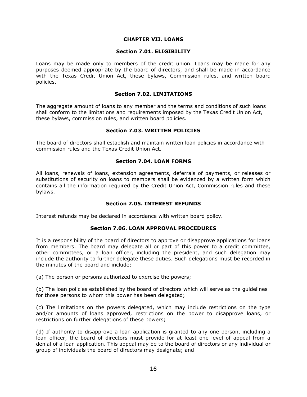#### **CHAPTER VII. LOANS**

#### **Section 7.01. ELIGIBILITY**

Loans may be made only to members of the credit union. Loans may be made for any purposes deemed appropriate by the board of directors, and shall be made in accordance with the Texas Credit Union Act, these bylaws, Commission rules, and written board policies.

# **Section 7.02. LIMITATIONS**

The aggregate amount of loans to any member and the terms and conditions of such loans shall conform to the limitations and requirements imposed by the Texas Credit Union Act, these bylaws, commission rules, and written board policies.

#### **Section 7.03. WRITTEN POLICIES**

The board of directors shall establish and maintain written loan policies in accordance with commission rules and the Texas Credit Union Act.

#### **Section 7.04. LOAN FORMS**

All loans, renewals of loans, extension agreements, deferrals of payments, or releases or substitutions of security on loans to members shall be evidenced by a written form which contains all the information required by the Credit Union Act, Commission rules and these bylaws.

# **Section 7.05. INTEREST REFUNDS**

Interest refunds may be declared in accordance with written board policy.

#### **Section 7.06. LOAN APPROVAL PROCEDURES**

It is a responsibility of the board of directors to approve or disapprove applications for loans from members. The board may delegate all or part of this power to a credit committee, other committees, or a loan officer, including the president, and such delegation may include the authority to further delegate these duties. Such delegations must be recorded in the minutes of the board and include:

(a) The person or persons authorized to exercise the powers;

(b) The loan policies established by the board of directors which will serve as the guidelines for those persons to whom this power has been delegated;

(c) The limitations on the powers delegated, which may include restrictions on the type and/or amounts of loans approved, restrictions on the power to disapprove loans, or restrictions on further delegations of these powers;

(d) If authority to disapprove a loan application is granted to any one person, including a loan officer, the board of directors must provide for at least one level of appeal from a denial of a loan application. This appeal may be to the board of directors or any individual or group of individuals the board of directors may designate; and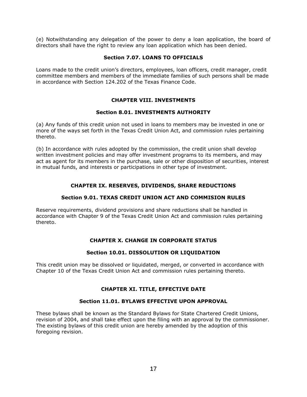(e) Notwithstanding any delegation of the power to deny a loan application, the board of directors shall have the right to review any loan application which has been denied.

# **Section 7.07. LOANS TO OFFICIALS**

Loans made to the credit union's directors, employees, loan officers, credit manager, credit committee members and members of the immediate families of such persons shall be made in accordance with Section 124.202 of the Texas Finance Code.

# **CHAPTER VIII. INVESTMENTS**

# **Section 8.01. INVESTMENTS AUTHORITY**

(a) Any funds of this credit union not used in loans to members may be invested in one or more of the ways set forth in the Texas Credit Union Act, and commission rules pertaining thereto.

(b) In accordance with rules adopted by the commission, the credit union shall develop written investment policies and may offer investment programs to its members, and may act as agent for its members in the purchase, sale or other disposition of securities, interest in mutual funds, and interests or participations in other type of investment.

# **CHAPTER IX. RESERVES, DIVIDENDS, SHARE REDUCTIONS**

# **Section 9.01. TEXAS CREDIT UNION ACT AND COMMISION RULES**

Reserve requirements, dividend provisions and share reductions shall be handled in accordance with Chapter 9 of the Texas Credit Union Act and commission rules pertaining thereto.

# **CHAPTER X. CHANGE IN CORPORATE STATUS**

# **Section 10.01. DISSOLUTION OR LIQUIDATION**

This credit union may be dissolved or liquidated, merged, or converted in accordance with Chapter 10 of the Texas Credit Union Act and commission rules pertaining thereto.

# **CHAPTER XI. TITLE, EFFECTIVE DATE**

# **Section 11.01. BYLAWS EFFECTIVE UPON APPROVAL**

These bylaws shall be known as the Standard Bylaws for State Chartered Credit Unions, revision of 2004, and shall take effect upon the filing with an approval by the commissioner. The existing bylaws of this credit union are hereby amended by the adoption of this foregoing revision.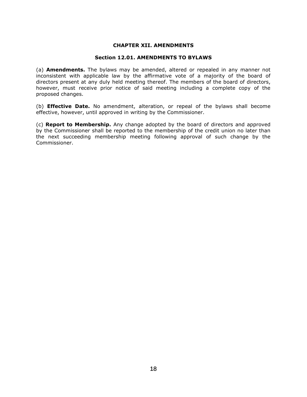#### **CHAPTER XII. AMENDMENTS**

#### **Section 12.01. AMENDMENTS TO BYLAWS**

(a) **Amendments.** The bylaws may be amended, altered or repealed in any manner not inconsistent with applicable law by the affirmative vote of a majority of the board of directors present at any duly held meeting thereof. The members of the board of directors, however, must receive prior notice of said meeting including a complete copy of the proposed changes.

(b) **Effective Date.** No amendment, alteration, or repeal of the bylaws shall become effective, however, until approved in writing by the Commissioner.

(c) **Report to Membership.** Any change adopted by the board of directors and approved by the Commissioner shall be reported to the membership of the credit union no later than the next succeeding membership meeting following approval of such change by the Commissioner.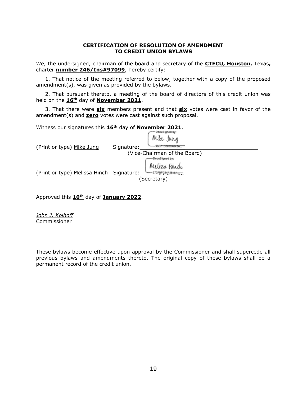#### **CERTIFICATION OF RESOLUTION OF AMENDMENT TO CREDIT UNION BYLAWS**

We, the undersigned, chairman of the board and secretary of the **CTECU, Houston,** Texas**,**  charter **number 246/Ins#97099**, hereby certify:

1. That notice of the meeting referred to below, together with a copy of the proposed amendment(s), was given as provided by the bylaws.

2. That pursuant thereto, a meeting of the board of directors of this credit union was held on the **16th** day of **November 2021**.

3. That there were **six** members present and that **six** votes were cast in favor of the amendment(s) and **zero** votes were cast against such proposal.

Witness our signatures this **16th** day of **November 2021**.

| (Print or type) Mike Jung                | <b>Distribution Manager Park</b><br>Mike Jung<br>Signature: |
|------------------------------------------|-------------------------------------------------------------|
|                                          | (Vice-Chairman of the Board)                                |
|                                          | DocuSigned by:                                              |
| (Print or type) Melissa Hinch Signature: | Melissa Hinde                                               |
|                                          | (Secretary)                                                 |

Approved this **10th** day of **January 2022**.

*John J. Kolhoff* Commissioner

These bylaws become effective upon approval by the Commissioner and shall supercede all previous bylaws and amendments thereto. The original copy of these bylaws shall be a permanent record of the credit union.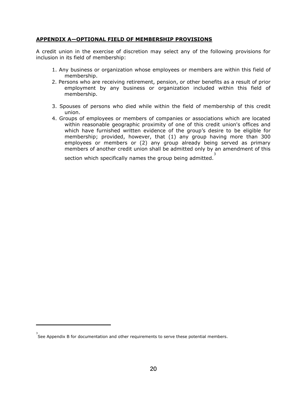# **APPENDIX A—OPTIONAL FIELD OF MEMBERSHIP PROVISIONS**

A credit union in the exercise of discretion may select any of the following provisions for inclusion in its field of membership:

- 1. Any business or organization whose employees or members are within this field of membership.
- 2. Persons who are receiving retirement, pension, or other benefits as a result of prior employment by any business or organization included within this field of membership.
- 3. Spouses of persons who died while within the field of membership of this credit union.
- 4. Groups of employees or members of companies or associations which are located within reasonable geographic proximity of one of this credit union's offices and which have furnished written evidence of the group's desire to be eligible for membership; provided, however, that (1) any group having more than 300 employees or members or (2) any group already being served as primary members of another credit union shall be admitted only by an amendment of this

section which specifically names the group being admitted.<sup>3</sup>

**\_\_\_\_\_\_\_\_\_\_\_\_\_\_\_\_\_\_\_\_\_**

<sup>3</sup> See Appendix B for documentation and other requirements to serve these potential members.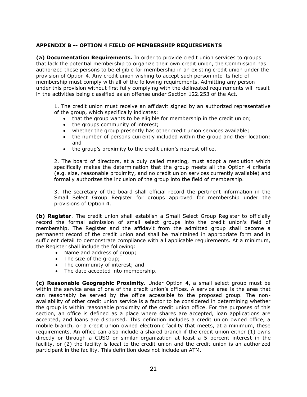# **APPENDIX B -- OPTION 4 FIELD OF MEMBERSHIP REQUIREMENTS**

**(a) Documentation Requirements.** In order to provide credit union services to groups that lack the potential membership to organize their own credit union, the Commission has authorized these persons to be eligible for membership in an existing credit union under the provision of Option 4. Any credit union wishing to accept such person into its field of membership must comply with all of the following requirements. Admitting any person under this provision without first fully complying with the delineated requirements will result in the activities being classified as an offense under Section 122.253 of the Act.

1. The credit union must receive an affidavit signed by an authorized representative of the group, which specifically indicates:

- that the group wants to be eligible for membership in the credit union;
- the groups community of interest;
- whether the group presently has other credit union services available;
- the number of persons currently included within the group and their location; and
- the group's proximity to the credit union's nearest office.

2. The board of directors, at a duly called meeting, must adopt a resolution which specifically makes the determination that the group meets all the Option 4 criteria (e.g. size, reasonable proximity, and no credit union services currently available) and formally authorizes the inclusion of the group into the field of membership.

3. The secretary of the board shall official record the pertinent information in the Small Select Group Register for groups approved for membership under the provisions of Option 4.

**(b) Register**. The credit union shall establish a Small Select Group Register to officially record the formal admission of small select groups into the credit union's field of membership. The Register and the affidavit from the admitted group shall become a permanent record of the credit union and shall be maintained in appropriate form and in sufficient detail to demonstrate compliance with all applicable requirements. At a minimum, the Register shall include the following:

- Name and address of group;
- The size of the group;
- The community of interest; and
- The date accepted into membership.

**(c) Reasonable Geographic Proximity.** Under Option 4, a small select group must be within the service area of one of the credit union's offices. A service area is the area that can reasonably be served by the office accessible to the proposed group. The nonavailability of other credit union service is a factor to be considered in determining whether the group is within reasonable proximity of the credit union office. For the purposes of this section, an office is defined as a place where shares are accepted, loan applications are accepted, and loans are disbursed. This definition includes a credit union owned office, a mobile branch, or a credit union owned electronic facility that meets, at a minimum, these requirements. An office can also include a shared branch if the credit union either (1) owns directly or through a CUSO or similar organization at least a 5 percent interest in the facility, or (2) the facility is local to the credit union and the credit union is an authorized participant in the facility. This definition does not include an ATM.